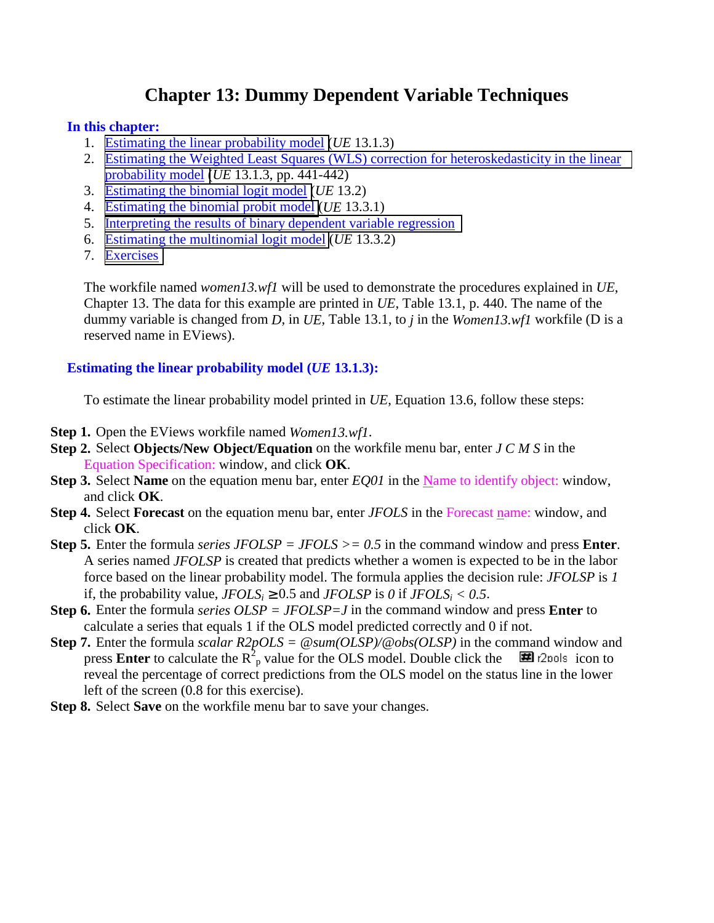# **Chapter 13: Dummy Dependent Variable Techniques**

#### <span id="page-0-0"></span>**In this chapter:**

- 1. Estimating the linear probability model (*UE* 13.1.3)
- 2. [Estimating the Weighted Least Squares \(WLS\) correction for heteroskedasticity in the linear](#page-1-0)  probability model (*UE* 13.1.3, pp. 441-442)
- 3. [Estimating the binomial logit model \(](#page-1-0)*UE* 13.2)
- 4. [Estimating the binomial probit model](#page-2-0) (*UE* 13.3.1)
- 5. [Interpreting the results of binary dependent variable regression](#page-3-0)
- 6. [Estimating the multinomial logit model](#page-3-0) (*UE* 13.3.2)
- 7. [Exercises](#page-3-0)

The workfile named *women13.wf1* will be used to demonstrate the procedures explained in *UE*, Chapter 13. The data for this example are printed in *UE*, Table 13.1, p. 440. The name of the dummy variable is changed from *D*, in *UE*, Table 13.1, to *j* in the *Women13.wf1* workfile (D is a reserved name in EViews).

## **Estimating the linear probability model (***UE* **13.1.3):**

To estimate the linear probability model printed in *UE*, Equation 13.6, follow these steps:

- **Step 1.** Open the EViews workfile named *Women13.wf1*.
- **Step 2.** Select **Objects/New Object/Equation** on the workfile menu bar, enter *J C M S* in the Equation Specification: window, and click **OK**.
- **Step 3.** Select **Name** on the equation menu bar, enter *EQ01* in the Name to identify object: window, and click **OK**.
- **Step 4.** Select **Forecast** on the equation menu bar, enter *JFOLS* in the Forecast name: window, and click **OK**.
- **Step 5.** Enter the formula *series JFOLSP = JFOLS >= 0.5* in the command window and press **Enter**. A series named *JFOLSP* is created that predicts whether a women is expected to be in the labor force based on the linear probability model. The formula applies the decision rule: *JFOLSP* is *1* if, the probability value,  $JFOLS_i \geq 0.5$  and  $JFOLSP$  is 0 if  $JFOLS_i < 0.5$ .
- **Step 6.** Enter the formula *series OLSP = JFOLSP=J* in the command window and press **Enter** to calculate a series that equals 1 if the OLS model predicted correctly and 0 if not.
- **Step 7.** Enter the formula *scalar R2pOLS = @sum(OLSP)/@obs(OLSP)* in the command window and press **Enter** to calculate the  $R^2$ <sub>p</sub> value for the OLS model. Double click the  $\Box$  r2pols icon to reveal the percentage of correct predictions from the OLS model on the status line in the lower left of the screen (0.8 for this exercise).
- **Step 8.** Select **Save** on the workfile menu bar to save your changes.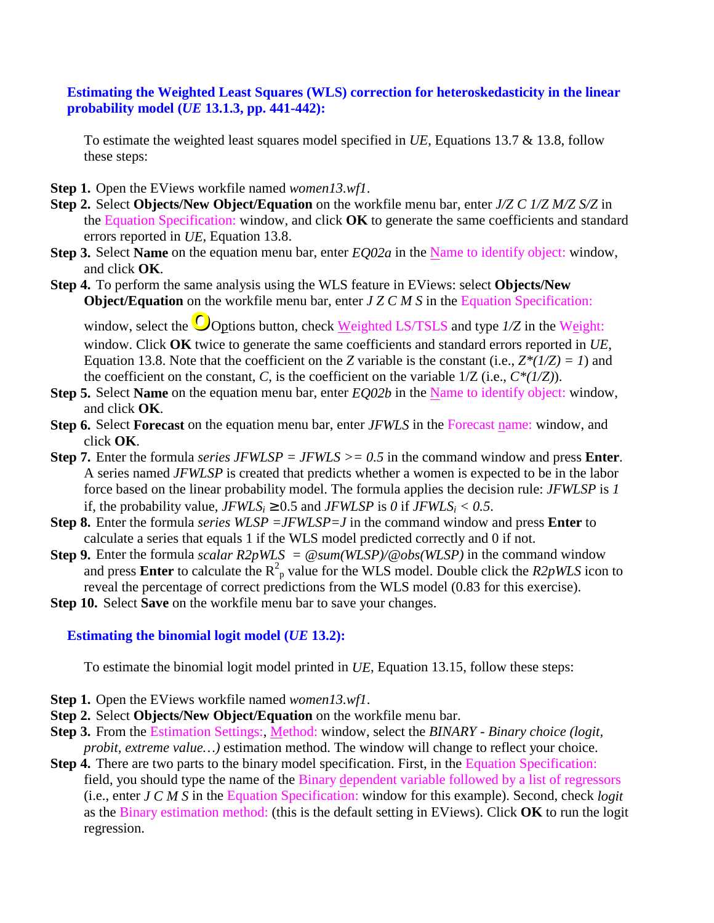# <span id="page-1-0"></span>**Estimating the Weighted Least Squares (WLS) correction for heteroskedasticity in the linear probability model (***UE* **13.1.3, pp. 441-442):**

To estimate the weighted least squares model specified in *UE*, Equations 13.7 & 13.8, follow these steps:

- **Step 1.** Open the EViews workfile named *women13.wf1*.
- **Step 2.** Select **Objects/New Object/Equation** on the workfile menu bar, enter *J/Z C 1/Z M/Z S/Z* in the Equation Specification: window, and click **OK** to generate the same coefficients and standard errors reported in *UE*, Equation 13.8.
- **Step 3.** Select **Name** on the equation menu bar, enter *EQ02a* in the Name to identify object: window, and click **OK**.
- **Step 4.** To perform the same analysis using the WLS feature in EViews: select **Objects/New Object/Equation** on the workfile menu bar, enter *J Z C M S* in the Equation Specification:

window, select the  $\bigcirc$ Options button, check Weighted LS/TSLS and type  $1/Z$  in the Weight: window. Click **OK** twice to generate the same coefficients and standard errors reported in *UE*, Equation 13.8. Note that the coefficient on the *Z* variable is the constant (i.e.,  $Z^*(1/Z) = 1$ ) and the coefficient on the constant, *C*, is the coefficient on the variable 1/Z (i.e., *C\*(1/Z)*).

- **Step 5.** Select **Name** on the equation menu bar, enter *EQ02b* in the Name to identify object: window, and click **OK**.
- **Step 6.** Select **Forecast** on the equation menu bar, enter *JFWLS* in the Forecast name: window, and click **OK**.
- **Step 7.** Enter the formula *series JFWLSP* = *JFWLS* > = 0.5 in the command window and press **Enter**. A series named *JFWLSP* is created that predicts whether a women is expected to be in the labor force based on the linear probability model. The formula applies the decision rule: *JFWLSP* is *1* if, the probability value,  $JFWLS_i \geq 0.5$  and  $JFWLSP$  is 0 if  $JFWLS_i < 0.5$ .
- **Step 8.** Enter the formula *series WLSP =JFWLSP=J* in the command window and press **Enter** to calculate a series that equals 1 if the WLS model predicted correctly and 0 if not.
- **Step 9.** Enter the formula *scalar R2pWLS* =  $\mathcal{Q}$ *sum(WLSP)/* $\mathcal{Q}$ *<i>obs(WLSP)* in the command window and press **Enter** to calculate the  $R^2$ <sub>p</sub> value for the WLS model. Double click the *R2pWLS* icon to reveal the percentage of correct predictions from the WLS model (0.83 for this exercise).
- **Step 10.** Select **Save** on the workfile menu bar to save your changes.

## **Estimating the binomial logit model (***UE* **13.2):**

To estimate the binomial logit model printed in *UE*, Equation 13.15, follow these steps:

- **Step 1.** Open the EViews workfile named *women13.wf1*.
- **Step 2.** Select **Objects/New Object/Equation** on the workfile menu bar.
- **Step 3.** From the Estimation Settings:, Method: window, select the *BINARY Binary choice (logit, probit, extreme value…)* estimation method. The window will change to reflect your choice.
- **Step 4.** There are two parts to the binary model specification. First, in the Equation Specification: field, you should type the name of the Binary dependent variable followed by a list of regressors (i.e., enter *J C M S* in the Equation Specification: window for this example). Second, check *logit* as the Binary estimation method: (this is the default setting in EViews). Click **OK** to run the logit regression.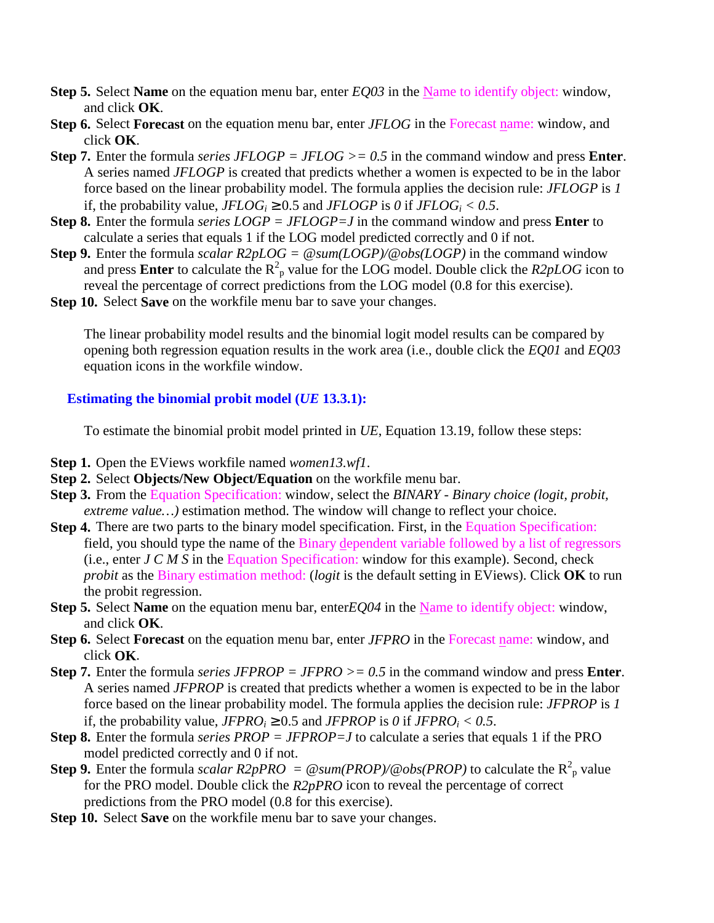- <span id="page-2-0"></span>**Step 5.** Select **Name** on the equation menu bar, enter *EQ03* in the Name to identify object: window, and click **OK**.
- **Step 6.** Select **Forecast** on the equation menu bar, enter *JFLOG* in the Forecast name: window, and click **OK**.
- **Step 7.** Enter the formula *series JFLOGP = JFLOG >= 0.5* in the command window and press **Enter**. A series named *JFLOGP* is created that predicts whether a women is expected to be in the labor force based on the linear probability model. The formula applies the decision rule: *JFLOGP* is *1* if, the probability value,  $JFLOG_i \geq 0.5$  and  $JFLOGP$  is 0 if  $JFLOG_i < 0.5$ .
- **Step 8.** Enter the formula *series LOGP = JFLOGP=J* in the command window and press **Enter** to calculate a series that equals 1 if the LOG model predicted correctly and 0 if not.
- **Step 9.** Enter the formula *scalar R2pLOG = @sum(LOGP)/@obs(LOGP)* in the command window and press **Enter** to calculate the  $R^2$ <sub>p</sub> value for the LOG model. Double click the *R2pLOG* icon to reveal the percentage of correct predictions from the LOG model (0.8 for this exercise).
- **Step 10.** Select **Save** on the workfile menu bar to save your changes.

The linear probability model results and the binomial logit model results can be compared by opening both regression equation results in the work area (i.e., double click the *EQ01* and *EQ03*  equation icons in the workfile window.

## **Estimating the binomial probit model (***UE* **13.3.1):**

To estimate the binomial probit model printed in *UE*, Equation 13.19, follow these steps:

- **Step 1.** Open the EViews workfile named *women13.wf1*.
- **Step 2.** Select **Objects/New Object/Equation** on the workfile menu bar.
- **Step 3.** From the Equation Specification: window, select the *BINARY Binary choice (logit, probit, extreme value…)* estimation method. The window will change to reflect your choice.
- **Step 4.** There are two parts to the binary model specification. First, in the Equation Specification: field, you should type the name of the Binary dependent variable followed by a list of regressors (i.e., enter *J C M S* in the Equation Specification: window for this example). Second, check *probit* as the Binary estimation method: (*logit* is the default setting in EViews). Click **OK** to run the probit regression.
- **Step 5.** Select **Name** on the equation menu bar, enter*EQ04* in the Name to identify object: window, and click **OK**.
- **Step 6.** Select **Forecast** on the equation menu bar, enter *JFPRO* in the Forecast name: window, and click **OK**.
- **Step 7.** Enter the formula *series JFPROP = JFPRO >= 0.5* in the command window and press **Enter**. A series named *JFPROP* is created that predicts whether a women is expected to be in the labor force based on the linear probability model. The formula applies the decision rule: *JFPROP* is *1* if, the probability value,  $JFRO_i \geq 0.5$  and  $JFROP$  is 0 if  $JFRO_i < 0.5$ .
- **Step 8.** Enter the formula *series PROP = JFPROP=J* to calculate a series that equals 1 if the PRO model predicted correctly and 0 if not.
- **Step 9.** Enter the formula *scalar R2pPRO* =  $\textcircled{e} \text{sum}(PROP)/\textcircled{e} \text{obs}(PROP)$  to calculate the R<sup>2</sup><sub>p</sub> value for the PRO model. Double click the *R2pPRO* icon to reveal the percentage of correct predictions from the PRO model (0.8 for this exercise).
- **Step 10.** Select **Save** on the workfile menu bar to save your changes.